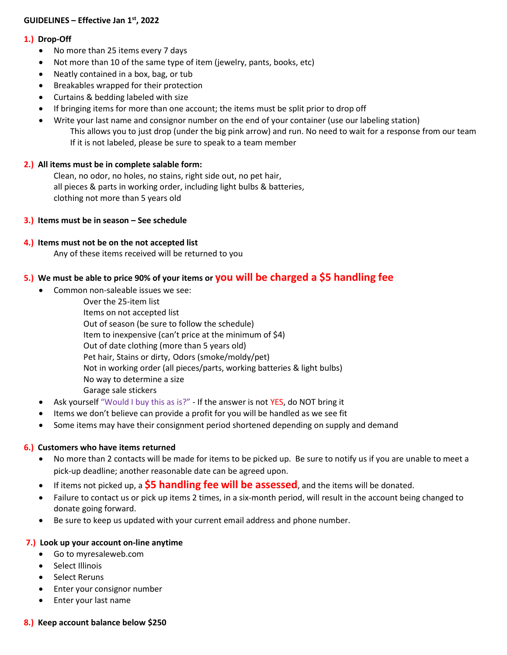## **GUIDELINES – Effective Jan 1 st, 2022**

### **1.) Drop-Off**

- No more than 25 items every 7 days
- Not more than 10 of the same type of item (jewelry, pants, books, etc)
- Neatly contained in a box, bag, or tub
- **•** Breakables wrapped for their protection
- Curtains & bedding labeled with size
- If bringing items for more than one account; the items must be split prior to drop off
- Write your last name and consignor number on the end of your container (use our labeling station) This allows you to just drop (under the big pink arrow) and run. No need to wait for a response from our team If it is not labeled, please be sure to speak to a team member

### **2.) All items must be in complete salable form:**

Clean, no odor, no holes, no stains, right side out, no pet hair, all pieces & parts in working order, including light bulbs & batteries, clothing not more than 5 years old

### **3.) Items must be in season – See schedule**

## **4.) Items must not be on the not accepted list**

Any of these items received will be returned to you

# **5.) We must be able to price 90% of your items or you will be charged a \$5 handling fee**

- Common non-saleable issues we see:
	- Over the 25-item list
	- Items on not accepted list

Out of season (be sure to follow the schedule)

- Item to inexpensive (can't price at the minimum of \$4)
- Out of date clothing (more than 5 years old)
- Pet hair, Stains or dirty, Odors (smoke/moldy/pet)
- Not in working order (all pieces/parts, working batteries & light bulbs)
- No way to determine a size
- Garage sale stickers
- Ask yourself "Would I buy this as is?" If the answer is not YES, do NOT bring it
- Items we don't believe can provide a profit for you will be handled as we see fit
- Some items may have their consignment period shortened depending on supply and demand

### **6.) Customers who have items returned**

- No more than 2 contacts will be made for items to be picked up. Be sure to notify us if you are unable to meet a pick-up deadline; another reasonable date can be agreed upon.
- If items not picked up, a **\$5 handling fee will be assessed**, and the items will be donated.
- Failure to contact us or pick up items 2 times, in a six-month period, will result in the account being changed to donate going forward.
- Be sure to keep us updated with your current email address and phone number.

### **7.) Look up your account on-line anytime**

- Go to myresaleweb.com
- Select Illinois
- Select Reruns
- Enter your consignor number
- Enter your last name

### **8.) Keep account balance below \$250**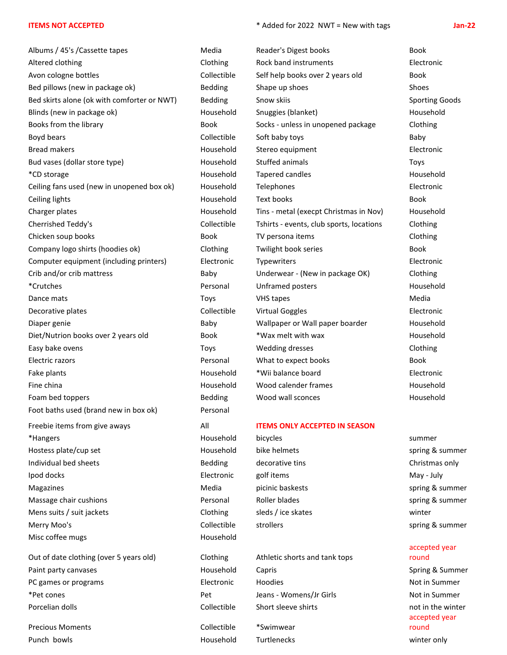Albums / 45's /Cassette tapes Metricom Media Reader's Digest books Books Books Altered clothing Clothing Rock band instruments Electronic Avon cologne bottles example and the Collectible Self help books over 2 years old Book Bed pillows (new in package ok) Bedding Shape up shoes Shoes Shoes Shoes Shoes Shoes Shoes Shoes Bed skirts alone (ok with comforter or NWT) Bedding Snow skiis Sporting Goods Sporting Goods Blinds (new in package ok) The Snuggies (blanket) Household Snuggies (blanket) and Mousehold Household Blinds ( Books from the library Theorem Socks - unless in unopened package Clothing Boyd bears **Boyd bears** Baby Collectible Soft baby toys **Baby** Baby Bread makers Household Stereo equipment Electronic Bud vases (dollar store type) Toys (dollar store type) and the Household Stuffed animals Toys Toys (Toys Toys \*CD storage Household Tapered candles Household Ceiling fans used (new in unopened box ok) Household Telephones Telectronic Electronic Ceiling lights Household Text books Book Charger plates Household Tins - metal (execpt Christmas in Nov) Household Cherrished Teddy's Collectible Tshirts - events, club sports, locations Clothing Chicken soup books **Book** TV persona items **Clothing** Clothing Company logo shirts (hoodies ok) Clothing Twilight book series Book Computer equipment (including printers) Electronic Typewriters Electronic Crib and/or crib mattress Baby Underwear - (New in package OK) Clothing \*Crutches Personal Unframed posters Household Dance mats Nedia New York Charles Toys Nedia New York Charles Nedia Nedia Decorative plates and the Collectible Virtual Goggles Collectible Collectible Collectible Collectible Virtual Goggles Diaper genie enterprise Baby Baby Wallpaper or Wall paper boarder and Household Diet/Nutrion books over 2 years old Book \*Wax melt with wax household Easy bake ovens Toys Wedding dresses Clothing Electric razors **Electric razors Book Books Books Books Books Books Books** Fake plants **Electronic Household** \*Wii balance board **Electronic** Fine china Household Wood calender frames Household Foam bed toppers The Community Bedding Theorem Wood wall sconces The Household Foot baths used (brand new in box ok) Personal Freebie items from give aways All **ITEMS ONLY ACCEPTED IN SEASON** \*Hangers Household bicycles summer Hostess plate/cup set **Household** bike helmets spring & summer Individual bed sheets **Bedding** decorative tins Christmas only Ipod docks Electronic golf items May - July Magazines **Media Media** picinic baskests spring & summer Massage chair cushions **Summer** Personal Roller blades **Summer** spring & summer Mens suits / suit jackets and the Clothing sleds / ice skates winter winter Merry Moo's **Collectible** strollers spring & summer Misc coffee mugs and the muscle of the Household

Paint party canvases and the Household Capris Capris Capris Spring & Summer PC games or programs The Community Control of the Electronic Hoodies Not in Summer Not in Summer \*Pet cones Pet Jeans - Womens/Jr Girls Not in Summer Porcelian dolls **Collectible** Short sleeve shirts not in the winter not in the winter

Precious Moments Collectible \*Swimwear Punch bowls Household Turtlenecks winter only

Out of date clothing (over 5 years old) Clothing Athletic shorts and tank tops

#### **ITEMS NOT ACCEPTED** \* Added for 2022 NWT = New with tags **Jan-22**

#### accepted year round

accepted year round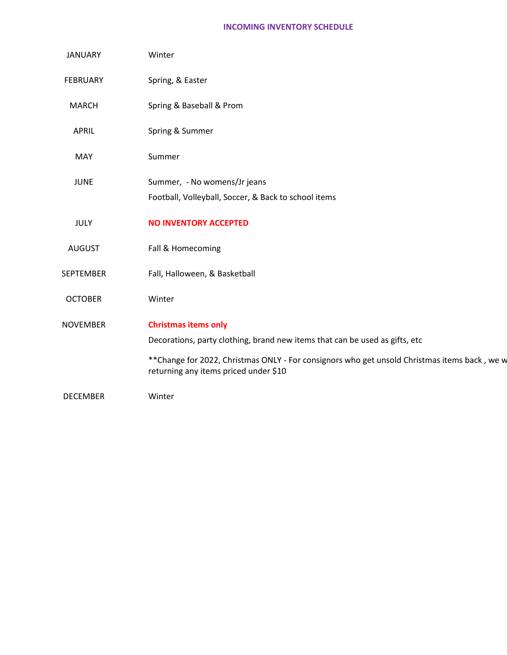#### **INCOMING INVENTORY SCHEDULE**

| <b>JANUARY</b>  | Winter                                                                                                                                                                                                                                               |
|-----------------|------------------------------------------------------------------------------------------------------------------------------------------------------------------------------------------------------------------------------------------------------|
| <b>FEBRUARY</b> | Spring, & Easter                                                                                                                                                                                                                                     |
| <b>MARCH</b>    | Spring & Baseball & Prom                                                                                                                                                                                                                             |
| APRIL           | Spring & Summer                                                                                                                                                                                                                                      |
| MAY             | Summer                                                                                                                                                                                                                                               |
| <b>JUNE</b>     | Summer, - No womens/Jr jeans<br>Football, Volleyball, Soccer, & Back to school items                                                                                                                                                                 |
| <b>JULY</b>     | <b>NO INVENTORY ACCEPTED</b>                                                                                                                                                                                                                         |
| <b>AUGUST</b>   | Fall & Homecoming                                                                                                                                                                                                                                    |
| SEPTEMBER       | Fall, Halloween, & Basketball                                                                                                                                                                                                                        |
| <b>OCTOBER</b>  | Winter                                                                                                                                                                                                                                               |
| <b>NOVEMBER</b> | <b>Christmas items only</b><br>Decorations, party clothing, brand new items that can be used as gifts, etc<br>** Change for 2022, Christmas ONLY - For consignors who get unsold Christmas items back, we w<br>returning any items priced under \$10 |
| <b>DECEMBER</b> | Winter                                                                                                                                                                                                                                               |